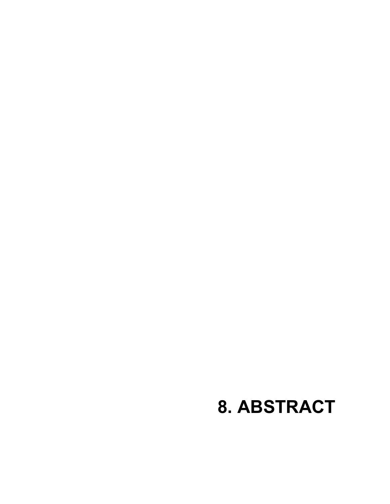## **8. ABSTRACT**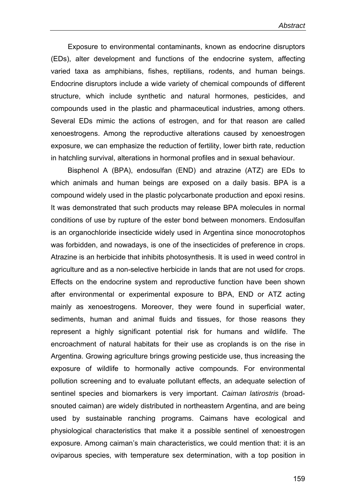Exposure to environmental contaminants, known as endocrine disruptors (EDs), alter development and functions of the endocrine system, affecting varied taxa as amphibians, fishes, reptilians, rodents, and human beings. Endocrine disruptors include a wide variety of chemical compounds of different structure, which include synthetic and natural hormones, pesticides, and compounds used in the plastic and pharmaceutical industries, among others. Several EDs mimic the actions of estrogen, and for that reason are called xenoestrogens. Among the reproductive alterations caused by xenoestrogen exposure, we can emphasize the reduction of fertility, lower birth rate, reduction in hatchling survival, alterations in hormonal profiles and in sexual behaviour.

Bisphenol A (BPA), endosulfan (END) and atrazine (ATZ) are EDs to which animals and human beings are exposed on a daily basis. BPA is a compound widely used in the plastic polycarbonate production and epoxi resins. It was demonstrated that such products may release BPA molecules in normal conditions of use by rupture of the ester bond between monomers. Endosulfan is an organochloride insecticide widely used in Argentina since monocrotophos was forbidden, and nowadays, is one of the insecticides of preference in crops. Atrazine is an herbicide that inhibits photosynthesis. It is used in weed control in agriculture and as a non-selective herbicide in lands that are not used for crops. Effects on the endocrine system and reproductive function have been shown after environmental or experimental exposure to BPA, END or ATZ acting mainly as xenoestrogens. Moreover, they were found in superficial water, sediments, human and animal fluids and tissues, for those reasons they represent a highly significant potential risk for humans and wildlife. The encroachment of natural habitats for their use as croplands is on the rise in Argentina. Growing agriculture brings growing pesticide use, thus increasing the exposure of wildlife to hormonally active compounds. For environmental pollution screening and to evaluate pollutant effects, an adequate selection of sentinel species and biomarkers is very important. *Caiman latirostris* (broadsnouted caiman) are widely distributed in northeastern Argentina, and are being used by sustainable ranching programs. Caimans have ecological and physiological characteristics that make it a possible sentinel of xenoestrogen exposure. Among caiman's main characteristics, we could mention that: it is an oviparous species, with temperature sex determination, with a top position in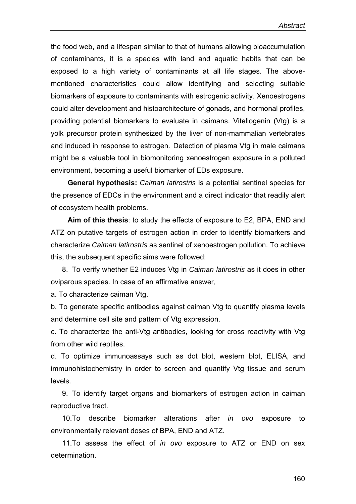the food web, and a lifespan similar to that of humans allowing bioaccumulation of contaminants, it is a species with land and aquatic habits that can be exposed to a high variety of contaminants at all life stages. The abovementioned characteristics could allow identifying and selecting suitable biomarkers of exposure to contaminants with estrogenic activity. Xenoestrogens could alter development and histoarchitecture of gonads, and hormonal profiles, providing potential biomarkers to evaluate in caimans. Vitellogenin (Vtg) is a yolk precursor protein synthesized by the liver of non-mammalian vertebrates and induced in response to estrogen. Detection of plasma Vtg in male caimans might be a valuable tool in biomonitoring xenoestrogen exposure in a polluted environment, becoming a useful biomarker of EDs exposure.

**General hypothesis:** *Caiman latirostris* is a potential sentinel species for the presence of EDCs in the environment and a direct indicator that readily alert of ecosystem health problems.

**Aim of this thesis**: to study the effects of exposure to E2, BPA, END and ATZ on putative targets of estrogen action in order to identify biomarkers and characterize *Caiman latirostris* as sentinel of xenoestrogen pollution. To achieve this, the subsequent specific aims were followed:

8. To verify whether E2 induces Vtg in *Caiman latirostris* as it does in other oviparous species. In case of an affirmative answer,

a. To characterize caiman Vtg.

b. To generate specific antibodies against caiman Vtg to quantify plasma levels and determine cell site and pattern of Vtg expression.

c. To characterize the anti-Vtg antibodies, looking for cross reactivity with Vtg from other wild reptiles.

d. To optimize immunoassays such as dot blot, western blot, ELISA, and immunohistochemistry in order to screen and quantify Vtg tissue and serum levels.

9. To identify target organs and biomarkers of estrogen action in caiman reproductive tract.

10.To describe biomarker alterations after *in ovo* exposure to environmentally relevant doses of BPA, END and ATZ.

11.To assess the effect of *in ovo* exposure to ATZ or END on sex determination.

160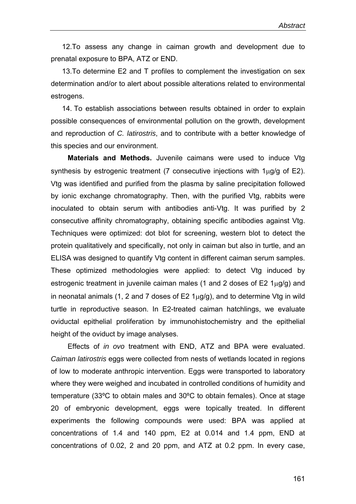12.To assess any change in caiman growth and development due to prenatal exposure to BPA, ATZ or END.

13.To determine E2 and T profiles to complement the investigation on sex determination and/or to alert about possible alterations related to environmental estrogens.

14. To establish associations between results obtained in order to explain possible consequences of environmental pollution on the growth, development and reproduction of *C. latirostris*, and to contribute with a better knowledge of this species and our environment.

**Materials and Methods.** Juvenile caimans were used to induce Vtg synthesis by estrogenic treatment (7 consecutive injections with  $1\mu$ g/g of E2). Vtg was identified and purified from the plasma by saline precipitation followed by ionic exchange chromatography. Then, with the purified Vtg, rabbits were inoculated to obtain serum with antibodies anti-Vtg. It was purified by 2 consecutive affinity chromatography, obtaining specific antibodies against Vtg. Techniques were optimized: dot blot for screening, western blot to detect the protein qualitatively and specifically, not only in caiman but also in turtle, and an ELISA was designed to quantify Vtg content in different caiman serum samples. These optimized methodologies were applied: to detect Vtg induced by estrogenic treatment in juvenile caiman males (1 and 2 doses of E2 1μg/g) and in neonatal animals (1, 2 and 7 doses of  $E2 \, 1\mu g/g$ ), and to determine Vtg in wild turtle in reproductive season. In E2-treated caiman hatchlings, we evaluate oviductal epithelial proliferation by immunohistochemistry and the epithelial height of the oviduct by image analyses.

Effects of *in ovo* treatment with END, ATZ and BPA were evaluated. *Caiman latirostris* eggs were collected from nests of wetlands located in regions of low to moderate anthropic intervention. Eggs were transported to laboratory where they were weighed and incubated in controlled conditions of humidity and temperature (33ºC to obtain males and 30ºC to obtain females). Once at stage 20 of embryonic development, eggs were topically treated. In different experiments the following compounds were used: BPA was applied at concentrations of 1.4 and 140 ppm, E2 at 0.014 and 1.4 ppm, END at concentrations of 0.02, 2 and 20 ppm, and ATZ at 0.2 ppm. In every case,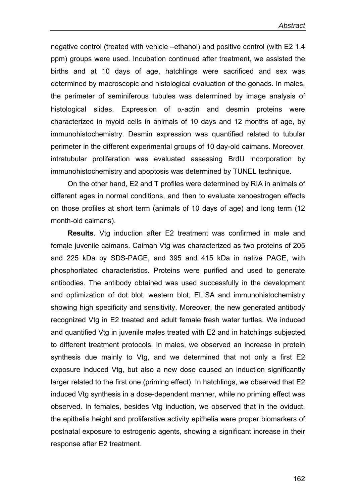negative control (treated with vehicle –ethanol) and positive control (with E2 1.4 ppm) groups were used. Incubation continued after treatment, we assisted the births and at 10 days of age, hatchlings were sacrificed and sex was determined by macroscopic and histological evaluation of the gonads. In males, the perimeter of seminiferous tubules was determined by image analysis of histological slides. Expression of  $\alpha$ -actin and desmin proteins were characterized in myoid cells in animals of 10 days and 12 months of age, by immunohistochemistry. Desmin expression was quantified related to tubular perimeter in the different experimental groups of 10 day-old caimans. Moreover, intratubular proliferation was evaluated assessing BrdU incorporation by immunohistochemistry and apoptosis was determined by TUNEL technique.

On the other hand, E2 and T profiles were determined by RIA in animals of different ages in normal conditions, and then to evaluate xenoestrogen effects on those profiles at short term (animals of 10 days of age) and long term (12 month-old caimans).

**Results**. Vtg induction after E2 treatment was confirmed in male and female juvenile caimans. Caiman Vtg was characterized as two proteins of 205 and 225 kDa by SDS-PAGE, and 395 and 415 kDa in native PAGE, with phosphorilated characteristics. Proteins were purified and used to generate antibodies. The antibody obtained was used successfully in the development and optimization of dot blot, western blot, ELISA and immunohistochemistry showing high specificity and sensitivity. Moreover, the new generated antibody recognized Vtg in E2 treated and adult female fresh water turtles. We induced and quantified Vtg in juvenile males treated with E2 and in hatchlings subjected to different treatment protocols. In males, we observed an increase in protein synthesis due mainly to Vtg, and we determined that not only a first E2 exposure induced Vtg, but also a new dose caused an induction significantly larger related to the first one (priming effect). In hatchlings, we observed that E2 induced Vtg synthesis in a dose-dependent manner, while no priming effect was observed. In females, besides Vtg induction, we observed that in the oviduct, the epithelia height and proliferative activity epithelia were proper biomarkers of postnatal exposure to estrogenic agents, showing a significant increase in their response after E2 treatment.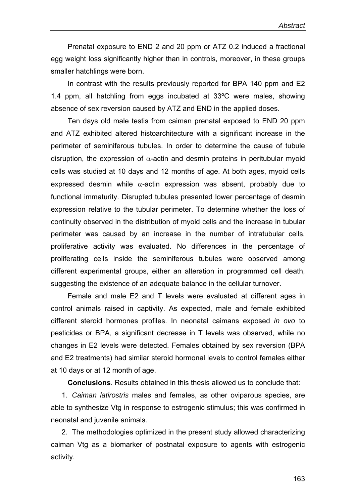Prenatal exposure to END 2 and 20 ppm or ATZ 0.2 induced a fractional egg weight loss significantly higher than in controls, moreover, in these groups smaller hatchlings were born.

In contrast with the results previously reported for BPA 140 ppm and E2 1.4 ppm, all hatchling from eggs incubated at 33ºC were males, showing absence of sex reversion caused by ATZ and END in the applied doses.

Ten days old male testis from caiman prenatal exposed to END 20 ppm and ATZ exhibited altered histoarchitecture with a significant increase in the perimeter of seminiferous tubules. In order to determine the cause of tubule disruption, the expression of  $\alpha$ -actin and desmin proteins in peritubular myoid cells was studied at 10 days and 12 months of age. At both ages, myoid cells expressed desmin while  $\alpha$ -actin expression was absent, probably due to functional immaturity. Disrupted tubules presented lower percentage of desmin expression relative to the tubular perimeter. To determine whether the loss of continuity observed in the distribution of myoid cells and the increase in tubular perimeter was caused by an increase in the number of intratubular cells, proliferative activity was evaluated. No differences in the percentage of proliferating cells inside the seminiferous tubules were observed among different experimental groups, either an alteration in programmed cell death, suggesting the existence of an adequate balance in the cellular turnover.

Female and male E2 and T levels were evaluated at different ages in control animals raised in captivity. As expected, male and female exhibited different steroid hormones profiles. In neonatal caimans exposed *in ovo* to pesticides or BPA, a significant decrease in T levels was observed, while no changes in E2 levels were detected. Females obtained by sex reversion (BPA and E2 treatments) had similar steroid hormonal levels to control females either at 10 days or at 12 month of age.

**Conclusions**. Results obtained in this thesis allowed us to conclude that:

1. *Caiman latirostris* males and females, as other oviparous species, are able to synthesize Vtg in response to estrogenic stimulus; this was confirmed in neonatal and juvenile animals.

2. The methodologies optimized in the present study allowed characterizing caiman Vtg as a biomarker of postnatal exposure to agents with estrogenic activity.